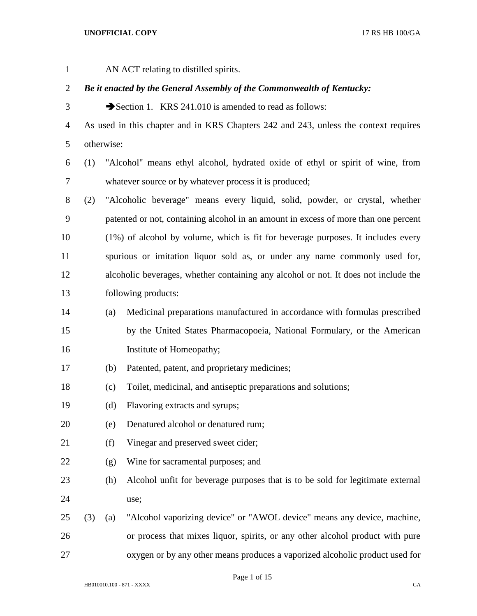| $\mathbf{1}$ | AN ACT relating to distilled spirits.                                  |                     |                                                                                      |  |  |
|--------------|------------------------------------------------------------------------|---------------------|--------------------------------------------------------------------------------------|--|--|
| 2            | Be it enacted by the General Assembly of the Commonwealth of Kentucky: |                     |                                                                                      |  |  |
| 3            | Section 1. KRS 241.010 is amended to read as follows:                  |                     |                                                                                      |  |  |
| 4            |                                                                        |                     | As used in this chapter and in KRS Chapters 242 and 243, unless the context requires |  |  |
| 5            |                                                                        | otherwise:          |                                                                                      |  |  |
| 6            | (1)                                                                    |                     | "Alcohol" means ethyl alcohol, hydrated oxide of ethyl or spirit of wine, from       |  |  |
| 7            |                                                                        |                     | whatever source or by whatever process it is produced;                               |  |  |
| 8            | (2)                                                                    |                     | "Alcoholic beverage" means every liquid, solid, powder, or crystal, whether          |  |  |
| 9            |                                                                        |                     | patented or not, containing alcohol in an amount in excess of more than one percent  |  |  |
| 10           |                                                                        |                     | (1%) of alcohol by volume, which is fit for beverage purposes. It includes every     |  |  |
| 11           |                                                                        |                     | spurious or imitation liquor sold as, or under any name commonly used for,           |  |  |
| 12           |                                                                        |                     | alcoholic beverages, whether containing any alcohol or not. It does not include the  |  |  |
| 13           |                                                                        | following products: |                                                                                      |  |  |
| 14           |                                                                        | (a)                 | Medicinal preparations manufactured in accordance with formulas prescribed           |  |  |
| 15           |                                                                        |                     | by the United States Pharmacopoeia, National Formulary, or the American              |  |  |
| 16           |                                                                        |                     | Institute of Homeopathy;                                                             |  |  |
| 17           |                                                                        | (b)                 | Patented, patent, and proprietary medicines;                                         |  |  |
| 18           |                                                                        | (c)                 | Toilet, medicinal, and antiseptic preparations and solutions;                        |  |  |
| 19           |                                                                        | (d)                 | Flavoring extracts and syrups;                                                       |  |  |
| 20           |                                                                        | (e)                 | Denatured alcohol or denatured rum;                                                  |  |  |
| 21           |                                                                        | (f)                 | Vinegar and preserved sweet cider;                                                   |  |  |
| 22           |                                                                        | (g)                 | Wine for sacramental purposes; and                                                   |  |  |
| 23           |                                                                        | (h)                 | Alcohol unfit for beverage purposes that is to be sold for legitimate external       |  |  |
| 24           |                                                                        |                     | use;                                                                                 |  |  |
| 25           | (3)                                                                    | (a)                 | "Alcohol vaporizing device" or "AWOL device" means any device, machine,              |  |  |
| 26           |                                                                        |                     | or process that mixes liquor, spirits, or any other alcohol product with pure        |  |  |
| 27           |                                                                        |                     | oxygen or by any other means produces a vaporized alcoholic product used for         |  |  |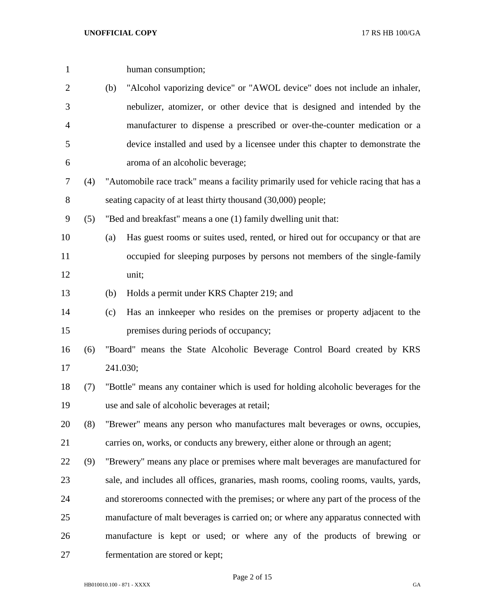| $\mathbf{1}$ |     |     | human consumption;                                                                    |  |  |
|--------------|-----|-----|---------------------------------------------------------------------------------------|--|--|
| 2            |     | (b) | "Alcohol vaporizing device" or "AWOL device" does not include an inhaler,             |  |  |
| 3            |     |     | nebulizer, atomizer, or other device that is designed and intended by the             |  |  |
| 4            |     |     | manufacturer to dispense a prescribed or over-the-counter medication or a             |  |  |
| 5            |     |     | device installed and used by a licensee under this chapter to demonstrate the         |  |  |
| 6            |     |     | aroma of an alcoholic beverage;                                                       |  |  |
| 7            | (4) |     | "Automobile race track" means a facility primarily used for vehicle racing that has a |  |  |
| 8            |     |     | seating capacity of at least thirty thousand (30,000) people;                         |  |  |
| 9            | (5) |     | "Bed and breakfast" means a one (1) family dwelling unit that:                        |  |  |
| 10           |     | (a) | Has guest rooms or suites used, rented, or hired out for occupancy or that are        |  |  |
| 11           |     |     | occupied for sleeping purposes by persons not members of the single-family            |  |  |
| 12           |     |     | unit;                                                                                 |  |  |
| 13           |     | (b) | Holds a permit under KRS Chapter 219; and                                             |  |  |
| 14           |     | (c) | Has an innkeeper who resides on the premises or property adjacent to the              |  |  |
| 15           |     |     | premises during periods of occupancy;                                                 |  |  |
| 16           | (6) |     | "Board" means the State Alcoholic Beverage Control Board created by KRS               |  |  |
| 17           |     |     | 241.030;                                                                              |  |  |
| 18           | (7) |     | "Bottle" means any container which is used for holding alcoholic beverages for the    |  |  |
| 19           |     |     | use and sale of alcoholic beverages at retail;                                        |  |  |
| 20           | (8) |     | "Brewer" means any person who manufactures malt beverages or owns, occupies,          |  |  |
| 21           |     |     | carries on, works, or conducts any brewery, either alone or through an agent;         |  |  |
| 22           | (9) |     | "Brewery" means any place or premises where malt beverages are manufactured for       |  |  |
| 23           |     |     | sale, and includes all offices, granaries, mash rooms, cooling rooms, vaults, yards,  |  |  |
| 24           |     |     | and storerooms connected with the premises; or where any part of the process of the   |  |  |
| 25           |     |     | manufacture of malt beverages is carried on; or where any apparatus connected with    |  |  |
| 26           |     |     | manufacture is kept or used; or where any of the products of brewing or               |  |  |
| 27           |     |     | fermentation are stored or kept;                                                      |  |  |

Page 2 of 15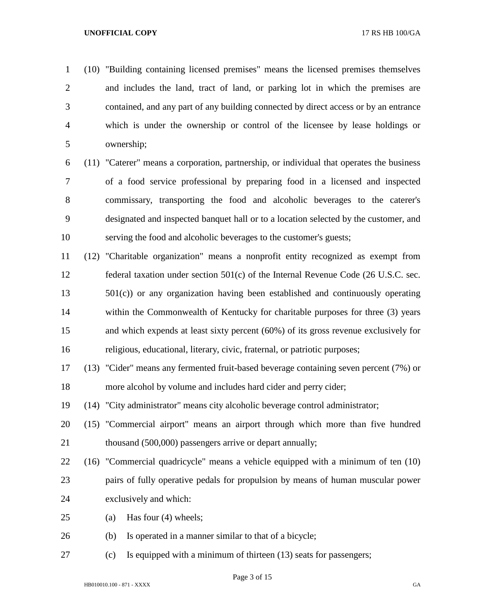(10) "Building containing licensed premises" means the licensed premises themselves and includes the land, tract of land, or parking lot in which the premises are contained, and any part of any building connected by direct access or by an entrance which is under the ownership or control of the licensee by lease holdings or ownership;

 (11) "Caterer" means a corporation, partnership, or individual that operates the business of a food service professional by preparing food in a licensed and inspected commissary, transporting the food and alcoholic beverages to the caterer's designated and inspected banquet hall or to a location selected by the customer, and serving the food and alcoholic beverages to the customer's guests;

 (12) "Charitable organization" means a nonprofit entity recognized as exempt from federal taxation under section 501(c) of the Internal Revenue Code (26 U.S.C. sec. 501(c)) or any organization having been established and continuously operating within the Commonwealth of Kentucky for charitable purposes for three (3) years and which expends at least sixty percent (60%) of its gross revenue exclusively for religious, educational, literary, civic, fraternal, or patriotic purposes;

 (13) "Cider" means any fermented fruit-based beverage containing seven percent (7%) or more alcohol by volume and includes hard cider and perry cider;

(14) "City administrator" means city alcoholic beverage control administrator;

 (15) "Commercial airport" means an airport through which more than five hundred 21 thousand (500,000) passengers arrive or depart annually;

 (16) "Commercial quadricycle" means a vehicle equipped with a minimum of ten (10) pairs of fully operative pedals for propulsion by means of human muscular power exclusively and which:

- (a) Has four (4) wheels;
- (b) Is operated in a manner similar to that of a bicycle;
- (c) Is equipped with a minimum of thirteen (13) seats for passengers;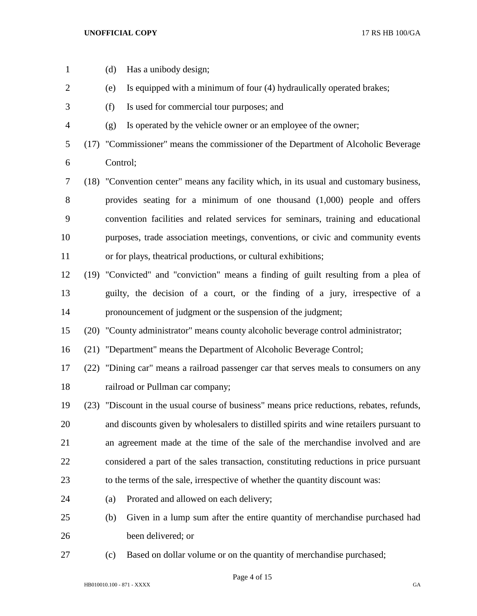| $\mathbf{1}$   | (d)      | Has a unibody design;                                                                     |  |  |
|----------------|----------|-------------------------------------------------------------------------------------------|--|--|
| $\overline{2}$ | (e)      | Is equipped with a minimum of four (4) hydraulically operated brakes;                     |  |  |
| 3              | (f)      | Is used for commercial tour purposes; and                                                 |  |  |
| 4              | (g)      | Is operated by the vehicle owner or an employee of the owner;                             |  |  |
| 5              |          | (17) "Commissioner" means the commissioner of the Department of Alcoholic Beverage        |  |  |
| 6              | Control; |                                                                                           |  |  |
| 7              |          | (18) "Convention center" means any facility which, in its usual and customary business,   |  |  |
| 8              |          | provides seating for a minimum of one thousand $(1,000)$ people and offers                |  |  |
| 9              |          | convention facilities and related services for seminars, training and educational         |  |  |
| 10             |          | purposes, trade association meetings, conventions, or civic and community events          |  |  |
| 11             |          | or for plays, theatrical productions, or cultural exhibitions;                            |  |  |
| 12             |          | (19) "Convicted" and "conviction" means a finding of guilt resulting from a plea of       |  |  |
| 13             |          | guilty, the decision of a court, or the finding of a jury, irrespective of a              |  |  |
| 14             |          | pronouncement of judgment or the suspension of the judgment;                              |  |  |
| 15             |          | (20) "County administrator" means county alcoholic beverage control administrator;        |  |  |
| 16             |          | (21) "Department" means the Department of Alcoholic Beverage Control;                     |  |  |
| 17             |          | (22) "Dining car" means a railroad passenger car that serves meals to consumers on any    |  |  |
| 18             |          | railroad or Pullman car company;                                                          |  |  |
| 19             |          | (23) "Discount in the usual course of business" means price reductions, rebates, refunds, |  |  |
| 20             |          | and discounts given by wholesalers to distilled spirits and wine retailers pursuant to    |  |  |
| 21             |          | an agreement made at the time of the sale of the merchandise involved and are             |  |  |
| 22             |          | considered a part of the sales transaction, constituting reductions in price pursuant     |  |  |
| 23             |          | to the terms of the sale, irrespective of whether the quantity discount was:              |  |  |
| 24             | (a)      | Prorated and allowed on each delivery;                                                    |  |  |
| 25             | (b)      | Given in a lump sum after the entire quantity of merchandise purchased had                |  |  |
| 26             |          | been delivered; or                                                                        |  |  |
| 27             | (c)      | Based on dollar volume or on the quantity of merchandise purchased;                       |  |  |

HB010010.100 - 871 - XXXX GA

Page 4 of 15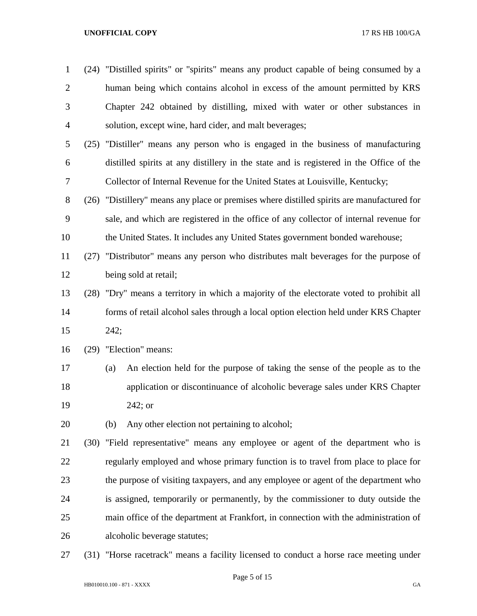| $\mathbf{1}$   | (24) "Distilled spirits" or "spirits" means any product capable of being consumed by a     |  |  |  |
|----------------|--------------------------------------------------------------------------------------------|--|--|--|
| $\overline{2}$ | human being which contains alcohol in excess of the amount permitted by KRS                |  |  |  |
| 3              | Chapter 242 obtained by distilling, mixed with water or other substances in                |  |  |  |
| $\overline{4}$ | solution, except wine, hard cider, and malt beverages;                                     |  |  |  |
| 5              | (25) "Distiller" means any person who is engaged in the business of manufacturing          |  |  |  |
| 6              | distilled spirits at any distillery in the state and is registered in the Office of the    |  |  |  |
| 7              | Collector of Internal Revenue for the United States at Louisville, Kentucky;               |  |  |  |
| $8\,$          | (26) "Distillery" means any place or premises where distilled spirits are manufactured for |  |  |  |
| 9              | sale, and which are registered in the office of any collector of internal revenue for      |  |  |  |
| 10             | the United States. It includes any United States government bonded warehouse;              |  |  |  |
| 11             | (27) "Distributor" means any person who distributes malt beverages for the purpose of      |  |  |  |
| 12             | being sold at retail;                                                                      |  |  |  |
| 13             | (28) "Dry" means a territory in which a majority of the electorate voted to prohibit all   |  |  |  |
| 14             | forms of retail alcohol sales through a local option election held under KRS Chapter       |  |  |  |
| 15             | 242;                                                                                       |  |  |  |
| 16             | (29) "Election" means:                                                                     |  |  |  |
| 17             | An election held for the purpose of taking the sense of the people as to the<br>(a)        |  |  |  |
| 18             | application or discontinuance of alcoholic beverage sales under KRS Chapter                |  |  |  |
| 19             | $242;$ or                                                                                  |  |  |  |
| 20             | Any other election not pertaining to alcohol;<br>(b)                                       |  |  |  |
| 21             | (30) "Field representative" means any employee or agent of the department who is           |  |  |  |
| 22             | regularly employed and whose primary function is to travel from place to place for         |  |  |  |
| 23             | the purpose of visiting taxpayers, and any employee or agent of the department who         |  |  |  |
| 24             | is assigned, temporarily or permanently, by the commissioner to duty outside the           |  |  |  |
| 25             | main office of the department at Frankfort, in connection with the administration of       |  |  |  |
| 26             | alcoholic beverage statutes;                                                               |  |  |  |
| 27             | (31) "Horse racetrack" means a facility licensed to conduct a horse race meeting under     |  |  |  |

Page 5 of 15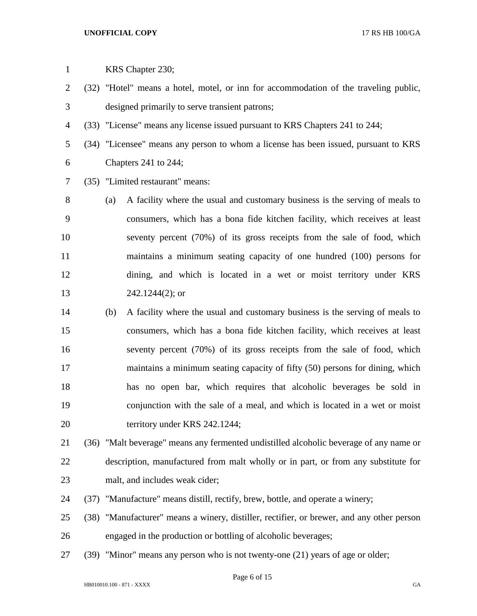| $\mathbf{1}$   |      |     | KRS Chapter 230;                                                                       |  |  |
|----------------|------|-----|----------------------------------------------------------------------------------------|--|--|
| $\overline{2}$ |      |     | (32) "Hotel" means a hotel, motel, or inn for accommodation of the traveling public,   |  |  |
| 3              |      |     | designed primarily to serve transient patrons;                                         |  |  |
| 4              |      |     | (33) "License" means any license issued pursuant to KRS Chapters 241 to 244;           |  |  |
| 5              |      |     | (34) "Licensee" means any person to whom a license has been issued, pursuant to KRS    |  |  |
| 6              |      |     | Chapters 241 to 244;                                                                   |  |  |
| 7              |      |     | (35) "Limited restaurant" means:                                                       |  |  |
| 8              |      | (a) | A facility where the usual and customary business is the serving of meals to           |  |  |
| 9              |      |     | consumers, which has a bona fide kitchen facility, which receives at least             |  |  |
| 10             |      |     | seventy percent (70%) of its gross receipts from the sale of food, which               |  |  |
| 11             |      |     | maintains a minimum seating capacity of one hundred (100) persons for                  |  |  |
| 12             |      |     | dining, and which is located in a wet or moist territory under KRS                     |  |  |
| 13             |      |     | $242.1244(2)$ ; or                                                                     |  |  |
| 14             |      | (b) | A facility where the usual and customary business is the serving of meals to           |  |  |
| 15             |      |     | consumers, which has a bona fide kitchen facility, which receives at least             |  |  |
| 16             |      |     | seventy percent (70%) of its gross receipts from the sale of food, which               |  |  |
| 17             |      |     | maintains a minimum seating capacity of fifty (50) persons for dining, which           |  |  |
| 18             |      |     | has no open bar, which requires that alcoholic beverages be sold in                    |  |  |
| 19             |      |     | conjunction with the sale of a meal, and which is located in a wet or moist            |  |  |
| 20             |      |     | territory under KRS 242.1244;                                                          |  |  |
| 21             |      |     | (36) "Malt beverage" means any fermented undistilled alcoholic beverage of any name or |  |  |
| 22             |      |     | description, manufactured from malt wholly or in part, or from any substitute for      |  |  |
| 23             |      |     | malt, and includes weak cider;                                                         |  |  |
| 24             | (37) |     | "Manufacture" means distill, rectify, brew, bottle, and operate a winery;              |  |  |
| 25             | (38) |     | "Manufacturer" means a winery, distiller, rectifier, or brewer, and any other person   |  |  |
| 26             |      |     | engaged in the production or bottling of alcoholic beverages;                          |  |  |
| 27             |      |     | (39) "Minor" means any person who is not twenty-one (21) years of age or older;        |  |  |
|                |      |     | Page 6 of $15$                                                                         |  |  |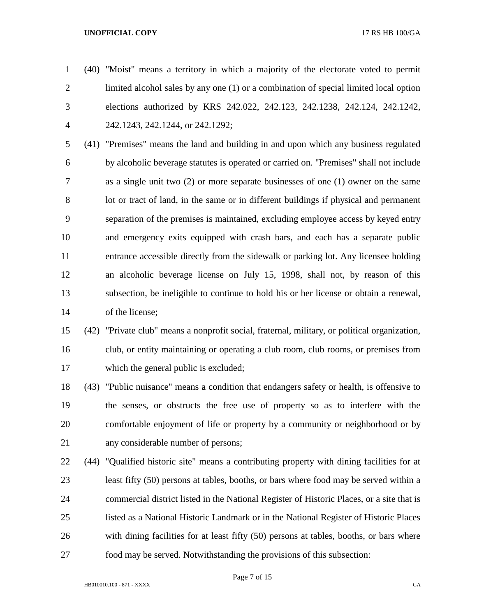(40) "Moist" means a territory in which a majority of the electorate voted to permit limited alcohol sales by any one (1) or a combination of special limited local option elections authorized by KRS 242.022, 242.123, 242.1238, 242.124, 242.1242, 242.1243, 242.1244, or 242.1292;

 (41) "Premises" means the land and building in and upon which any business regulated by alcoholic beverage statutes is operated or carried on. "Premises" shall not include as a single unit two (2) or more separate businesses of one (1) owner on the same lot or tract of land, in the same or in different buildings if physical and permanent separation of the premises is maintained, excluding employee access by keyed entry and emergency exits equipped with crash bars, and each has a separate public entrance accessible directly from the sidewalk or parking lot. Any licensee holding an alcoholic beverage license on July 15, 1998, shall not, by reason of this subsection, be ineligible to continue to hold his or her license or obtain a renewal, of the license;

# (42) "Private club" means a nonprofit social, fraternal, military, or political organization, club, or entity maintaining or operating a club room, club rooms, or premises from which the general public is excluded;

 (43) "Public nuisance" means a condition that endangers safety or health, is offensive to the senses, or obstructs the free use of property so as to interfere with the comfortable enjoyment of life or property by a community or neighborhood or by any considerable number of persons;

 (44) "Qualified historic site" means a contributing property with dining facilities for at least fifty (50) persons at tables, booths, or bars where food may be served within a commercial district listed in the National Register of Historic Places, or a site that is listed as a National Historic Landmark or in the National Register of Historic Places with dining facilities for at least fifty (50) persons at tables, booths, or bars where food may be served. Notwithstanding the provisions of this subsection: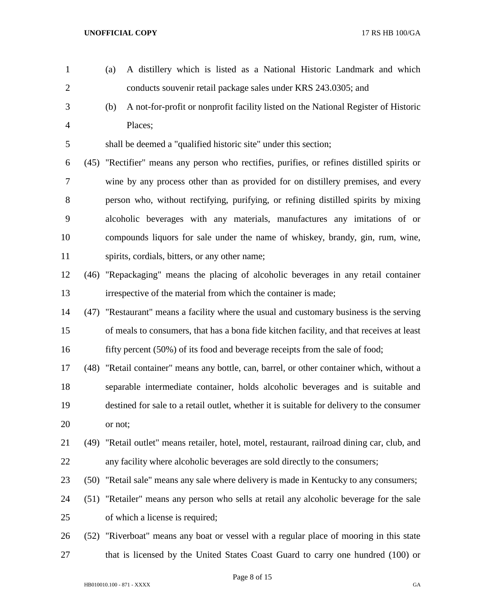- (a) A distillery which is listed as a National Historic Landmark and which 2 conducts souvenir retail package sales under KRS 243.0305; and (b) A not-for-profit or nonprofit facility listed on the National Register of Historic Places; shall be deemed a "qualified historic site" under this section; (45) "Rectifier" means any person who rectifies, purifies, or refines distilled spirits or wine by any process other than as provided for on distillery premises, and every person who, without rectifying, purifying, or refining distilled spirits by mixing alcoholic beverages with any materials, manufactures any imitations of or compounds liquors for sale under the name of whiskey, brandy, gin, rum, wine, spirits, cordials, bitters, or any other name; (46) "Repackaging" means the placing of alcoholic beverages in any retail container irrespective of the material from which the container is made; (47) "Restaurant" means a facility where the usual and customary business is the serving of meals to consumers, that has a bona fide kitchen facility, and that receives at least 16 fifty percent (50%) of its food and beverage receipts from the sale of food;
- (48) "Retail container" means any bottle, can, barrel, or other container which, without a separable intermediate container, holds alcoholic beverages and is suitable and destined for sale to a retail outlet, whether it is suitable for delivery to the consumer or not;
- (49) "Retail outlet" means retailer, hotel, motel, restaurant, railroad dining car, club, and any facility where alcoholic beverages are sold directly to the consumers;
- (50) "Retail sale" means any sale where delivery is made in Kentucky to any consumers;
- (51) "Retailer" means any person who sells at retail any alcoholic beverage for the sale of which a license is required;
- (52) "Riverboat" means any boat or vessel with a regular place of mooring in this state that is licensed by the United States Coast Guard to carry one hundred (100) or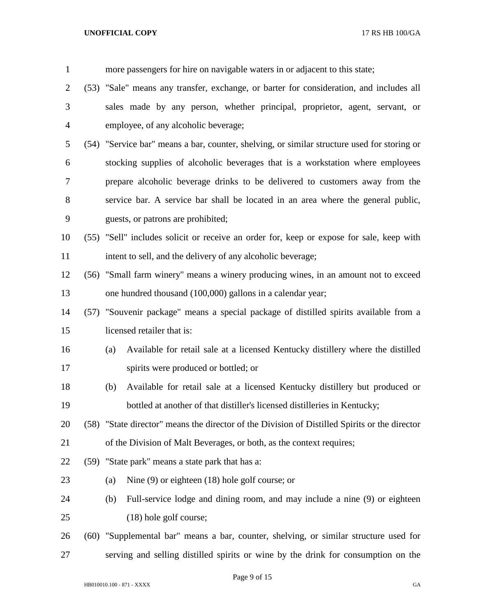| $\mathbf{1}$   |      |     | more passengers for hire on navigable waters in or adjacent to this state;                    |
|----------------|------|-----|-----------------------------------------------------------------------------------------------|
| $\overline{2}$ |      |     | (53) "Sale" means any transfer, exchange, or barter for consideration, and includes all       |
| 3              |      |     | sales made by any person, whether principal, proprietor, agent, servant, or                   |
| 4              |      |     | employee, of any alcoholic beverage;                                                          |
| 5              |      |     | (54) "Service bar" means a bar, counter, shelving, or similar structure used for storing or   |
| 6              |      |     | stocking supplies of alcoholic beverages that is a workstation where employees                |
| 7              |      |     | prepare alcoholic beverage drinks to be delivered to customers away from the                  |
| 8              |      |     | service bar. A service bar shall be located in an area where the general public,              |
| 9              |      |     | guests, or patrons are prohibited;                                                            |
| 10             |      |     | (55) "Sell" includes solicit or receive an order for, keep or expose for sale, keep with      |
| 11             |      |     | intent to sell, and the delivery of any alcoholic beverage;                                   |
| 12             |      |     | (56) "Small farm winery" means a winery producing wines, in an amount not to exceed           |
| 13             |      |     | one hundred thousand (100,000) gallons in a calendar year;                                    |
| 14             |      |     | (57) "Souvenir package" means a special package of distilled spirits available from a         |
| 15             |      |     | licensed retailer that is:                                                                    |
| 16             |      | (a) | Available for retail sale at a licensed Kentucky distillery where the distilled               |
| 17             |      |     | spirits were produced or bottled; or                                                          |
| 18             |      | (b) | Available for retail sale at a licensed Kentucky distillery but produced or                   |
| 19             |      |     | bottled at another of that distiller's licensed distilleries in Kentucky;                     |
| 20             |      |     | (58) "State director" means the director of the Division of Distilled Spirits or the director |
| 21             |      |     | of the Division of Malt Beverages, or both, as the context requires;                          |
| 22             |      |     | (59) "State park" means a state park that has a:                                              |
| 23             |      | (a) | Nine $(9)$ or eighteen $(18)$ hole golf course; or                                            |
| 24             |      | (b) | Full-service lodge and dining room, and may include a nine (9) or eighteen                    |
| 25             |      |     | (18) hole golf course;                                                                        |
| 26             | (60) |     | "Supplemental bar" means a bar, counter, shelving, or similar structure used for              |
| 27             |      |     | serving and selling distilled spirits or wine by the drink for consumption on the             |

Page 9 of 15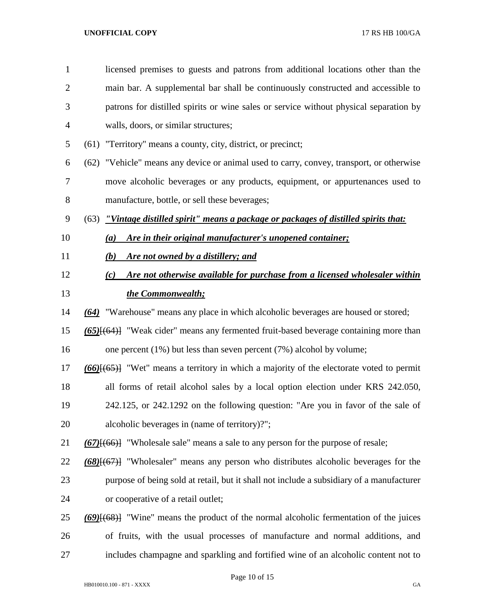| $\mathbf{1}$   | licensed premises to guests and patrons from additional locations other than the              |
|----------------|-----------------------------------------------------------------------------------------------|
| $\overline{2}$ | main bar. A supplemental bar shall be continuously constructed and accessible to              |
| 3              | patrons for distilled spirits or wine sales or service without physical separation by         |
| 4              | walls, doors, or similar structures;                                                          |
| 5              | (61) "Territory" means a county, city, district, or precinct;                                 |
| 6              | (62) "Vehicle" means any device or animal used to carry, convey, transport, or otherwise      |
| 7              | move alcoholic beverages or any products, equipment, or appurtenances used to                 |
| 8              | manufacture, bottle, or sell these beverages;                                                 |
| 9              | "Vintage distilled spirit" means a package or packages of distilled spirits that:<br>(63)     |
| 10             | Are in their original manufacturer's unopened container;<br>(a)                               |
| 11             | Are not owned by a distillery; and<br>(b)                                                     |
| 12             | Are not otherwise available for purchase from a licensed wholesaler within<br>(c)             |
| 13             | the Commonwealth;                                                                             |
| 14             | "Warehouse" means any place in which alcoholic beverages are housed or stored;<br>(64)        |
| 15             | $(65)$ $\{ (64)$ "Weak cider" means any fermented fruit-based beverage containing more than   |
| 16             | one percent $(1\%)$ but less than seven percent $(7\%)$ alcohol by volume;                    |
| 17             | $(66)$ $(65)$ "Wet" means a territory in which a majority of the electorate voted to permit   |
| 18             | all forms of retail alcohol sales by a local option election under KRS 242.050,               |
| 19             | 242.125, or 242.1292 on the following question: "Are you in favor of the sale of              |
| 20             | alcoholic beverages in (name of territory)?";                                                 |
| 21             | $(67)$ { $(66)$ } "Wholesale sale" means a sale to any person for the purpose of resale;      |
| 22             | (68)[(67)] "Wholesaler" means any person who distributes alcoholic beverages for the          |
| 23             | purpose of being sold at retail, but it shall not include a subsidiary of a manufacturer      |
| 24             | or cooperative of a retail outlet;                                                            |
| 25             | $(69)$ [ $(68)$ ] "Wine" means the product of the normal alcoholic fermentation of the juices |
| 26             | of fruits, with the usual processes of manufacture and normal additions, and                  |
| 27             | includes champagne and sparkling and fortified wine of an alcoholic content not to            |

Page 10 of 15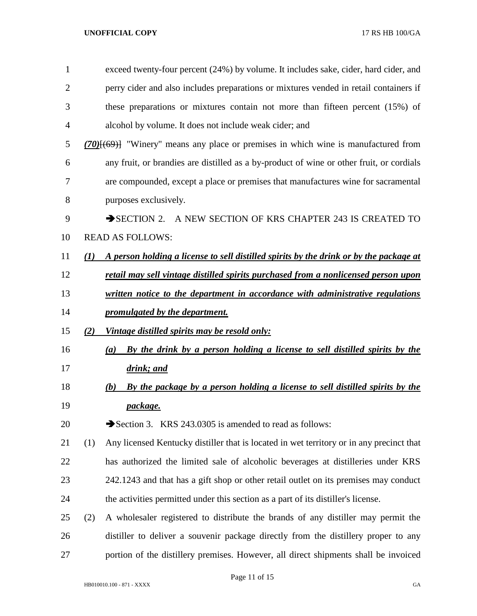| $\mathbf{1}$   |     | exceed twenty-four percent (24%) by volume. It includes sake, cider, hard cider, and     |  |  |  |  |
|----------------|-----|------------------------------------------------------------------------------------------|--|--|--|--|
| $\overline{2}$ |     | perry cider and also includes preparations or mixtures vended in retail containers if    |  |  |  |  |
| 3              |     | these preparations or mixtures contain not more than fifteen percent (15%) of            |  |  |  |  |
| 4              |     | alcohol by volume. It does not include weak cider; and                                   |  |  |  |  |
| 5              |     | $(70)$ [(69)] "Winery" means any place or premises in which wine is manufactured from    |  |  |  |  |
| 6              |     | any fruit, or brandies are distilled as a by-product of wine or other fruit, or cordials |  |  |  |  |
| 7              |     | are compounded, except a place or premises that manufactures wine for sacramental        |  |  |  |  |
| 8              |     | purposes exclusively.                                                                    |  |  |  |  |
| 9              |     | $\rightarrow$ SECTION 2.<br>A NEW SECTION OF KRS CHAPTER 243 IS CREATED TO               |  |  |  |  |
| 10             |     | <b>READ AS FOLLOWS:</b>                                                                  |  |  |  |  |
| 11             | (1) | A person holding a license to sell distilled spirits by the drink or by the package at   |  |  |  |  |
| 12             |     | retail may sell vintage distilled spirits purchased from a nonlicensed person upon       |  |  |  |  |
| 13             |     | written notice to the department in accordance with administrative regulations           |  |  |  |  |
| 14             |     | promulgated by the department.                                                           |  |  |  |  |
| 15             | (2) | <u>Vintage distilled spirits may be resold only:</u>                                     |  |  |  |  |
| 16             |     | By the drink by a person holding a license to sell distilled spirits by the<br>(a)       |  |  |  |  |
| 17             |     | drink; and                                                                               |  |  |  |  |
| 18             |     | By the package by a person holding a license to sell distilled spirits by the<br>(b)     |  |  |  |  |
| 19             |     | package.                                                                                 |  |  |  |  |
| 20             |     | Section 3. KRS 243.0305 is amended to read as follows:                                   |  |  |  |  |
| 21             | (1) | Any licensed Kentucky distiller that is located in wet territory or in any precinct that |  |  |  |  |
| 22             |     | has authorized the limited sale of alcoholic beverages at distilleries under KRS         |  |  |  |  |
| 23             |     | 242.1243 and that has a gift shop or other retail outlet on its premises may conduct     |  |  |  |  |
| 24             |     | the activities permitted under this section as a part of its distiller's license.        |  |  |  |  |
| 25             | (2) | A wholesaler registered to distribute the brands of any distiller may permit the         |  |  |  |  |
| 26             |     | distiller to deliver a souvenir package directly from the distillery proper to any       |  |  |  |  |
| 27             |     | portion of the distillery premises. However, all direct shipments shall be invoiced      |  |  |  |  |

Page 11 of 15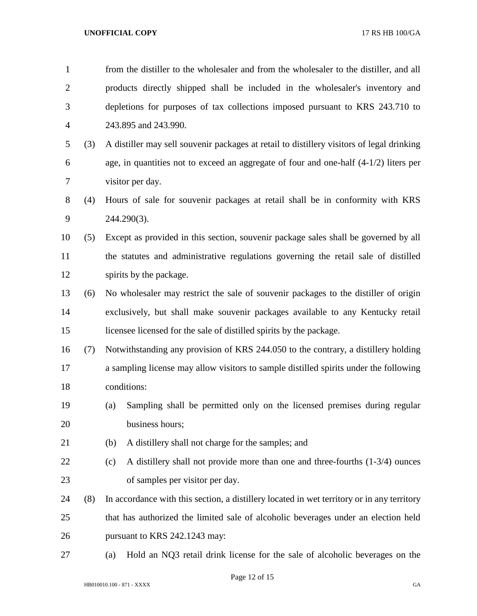| $\mathbf{1}$   |     | from the distiller to the wholesaler and from the wholesaler to the distiller, and all     |  |  |  |
|----------------|-----|--------------------------------------------------------------------------------------------|--|--|--|
| $\overline{2}$ |     | products directly shipped shall be included in the wholesaler's inventory and              |  |  |  |
| 3              |     | depletions for purposes of tax collections imposed pursuant to KRS 243.710 to              |  |  |  |
| $\overline{4}$ |     | 243.895 and 243.990.                                                                       |  |  |  |
| 5              | (3) | A distiller may sell souvenir packages at retail to distillery visitors of legal drinking  |  |  |  |
| 6              |     | age, in quantities not to exceed an aggregate of four and one-half $(4-1/2)$ liters per    |  |  |  |
| 7              |     | visitor per day.                                                                           |  |  |  |
| 8              | (4) | Hours of sale for souvenir packages at retail shall be in conformity with KRS              |  |  |  |
| 9              |     | 244.290(3).                                                                                |  |  |  |
| 10             | (5) | Except as provided in this section, souvenir package sales shall be governed by all        |  |  |  |
| 11             |     | the statutes and administrative regulations governing the retail sale of distilled         |  |  |  |
| 12             |     | spirits by the package.                                                                    |  |  |  |
| 13             | (6) | No wholesaler may restrict the sale of souvenir packages to the distiller of origin        |  |  |  |
| 14             |     | exclusively, but shall make souvenir packages available to any Kentucky retail             |  |  |  |
| 15             |     | licensee licensed for the sale of distilled spirits by the package.                        |  |  |  |
| 16             | (7) | Notwithstanding any provision of KRS 244.050 to the contrary, a distillery holding         |  |  |  |
| 17             |     | a sampling license may allow visitors to sample distilled spirits under the following      |  |  |  |
| 18             |     | conditions:                                                                                |  |  |  |
| 19             |     | Sampling shall be permitted only on the licensed premises during regular<br>(a)            |  |  |  |
| 20             |     | business hours;                                                                            |  |  |  |
| 21             |     | (b)<br>A distillery shall not charge for the samples; and                                  |  |  |  |
| 22             |     | A distillery shall not provide more than one and three-fourths $(1-3/4)$ ounces<br>(c)     |  |  |  |
| 23             |     | of samples per visitor per day.                                                            |  |  |  |
| 24             | (8) | In accordance with this section, a distillery located in wet territory or in any territory |  |  |  |
| 25             |     | that has authorized the limited sale of alcoholic beverages under an election held         |  |  |  |
| 26             |     | pursuant to KRS 242.1243 may:                                                              |  |  |  |
| 27             |     | Hold an NQ3 retail drink license for the sale of alcoholic beverages on the<br>(a)         |  |  |  |
|                |     |                                                                                            |  |  |  |

Page 12 of 15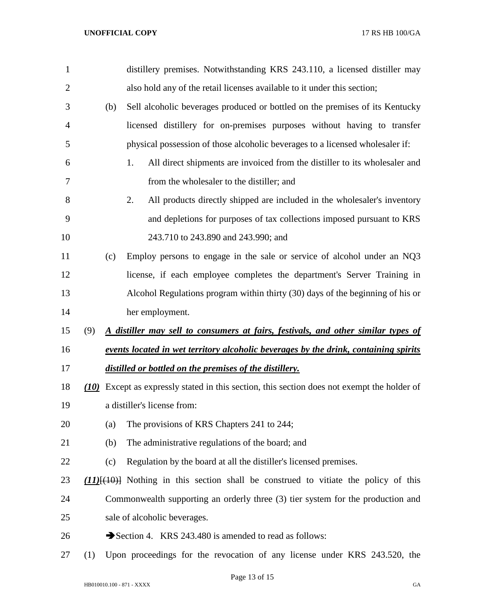| $\mathbf{1}$   |     |     | distillery premises. Notwithstanding KRS 243.110, a licensed distiller may                  |
|----------------|-----|-----|---------------------------------------------------------------------------------------------|
| $\overline{2}$ |     |     | also hold any of the retail licenses available to it under this section;                    |
| 3              |     | (b) | Sell alcoholic beverages produced or bottled on the premises of its Kentucky                |
| $\overline{4}$ |     |     | licensed distillery for on-premises purposes without having to transfer                     |
| 5              |     |     | physical possession of those alcoholic beverages to a licensed wholesaler if:               |
| 6              |     |     | All direct shipments are invoiced from the distiller to its wholesaler and<br>1.            |
| 7              |     |     | from the wholesaler to the distiller; and                                                   |
| 8              |     |     | 2.<br>All products directly shipped are included in the wholesaler's inventory              |
| 9              |     |     | and depletions for purposes of tax collections imposed pursuant to KRS                      |
| 10             |     |     | 243.710 to 243.890 and 243.990; and                                                         |
| 11             |     | (c) | Employ persons to engage in the sale or service of alcohol under an NQ3                     |
| 12             |     |     | license, if each employee completes the department's Server Training in                     |
| 13             |     |     | Alcohol Regulations program within thirty (30) days of the beginning of his or              |
| 14             |     |     | her employment.                                                                             |
| 15             | (9) |     | A distiller may sell to consumers at fairs, festivals, and other similar types of           |
| 16             |     |     | events located in wet territory alcoholic beverages by the drink, containing spirits        |
| 17             |     |     | distilled or bottled on the premises of the distillery.                                     |
| 18             |     |     | (10) Except as expressly stated in this section, this section does not exempt the holder of |
| 19             |     |     | a distiller's license from:                                                                 |
| 20             |     | (a) | The provisions of KRS Chapters 241 to 244;                                                  |
| 21             |     | (b) | The administrative regulations of the board; and                                            |
| 22             |     | (c) | Regulation by the board at all the distiller's licensed premises.                           |
| 23             |     |     | $(11)((10))$ Nothing in this section shall be construed to vitiate the policy of this       |
| 24             |     |     | Commonwealth supporting an orderly three (3) tier system for the production and             |
| 25             |     |     | sale of alcoholic beverages.                                                                |
| 26             |     |     | Section 4. KRS 243.480 is amended to read as follows:                                       |
| 27             | (1) |     | Upon proceedings for the revocation of any license under KRS 243.520, the                   |

Page 13 of 15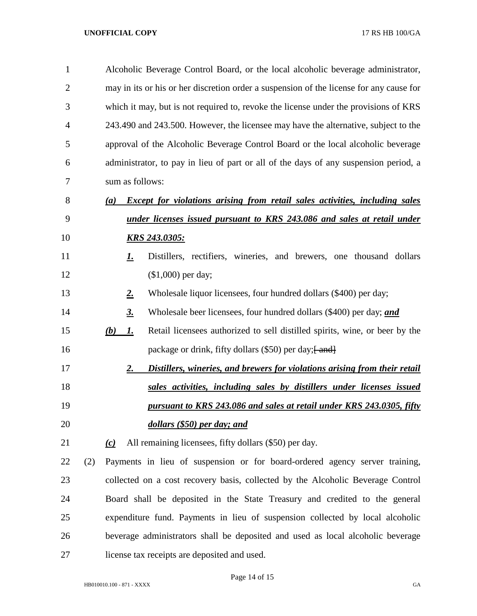| $\mathbf{1}$   |     |     | Alcoholic Beverage Control Board, or the local alcoholic beverage administrator,        |                                                                                      |  |  |  |  |
|----------------|-----|-----|-----------------------------------------------------------------------------------------|--------------------------------------------------------------------------------------|--|--|--|--|
| $\overline{2}$ |     |     | may in its or his or her discretion order a suspension of the license for any cause for |                                                                                      |  |  |  |  |
| 3              |     |     | which it may, but is not required to, revoke the license under the provisions of KRS    |                                                                                      |  |  |  |  |
| 4              |     |     |                                                                                         | 243.490 and 243.500. However, the licensee may have the alternative, subject to the  |  |  |  |  |
| 5              |     |     |                                                                                         | approval of the Alcoholic Beverage Control Board or the local alcoholic beverage     |  |  |  |  |
| 6              |     |     |                                                                                         | administrator, to pay in lieu of part or all of the days of any suspension period, a |  |  |  |  |
| 7              |     |     | sum as follows:                                                                         |                                                                                      |  |  |  |  |
| 8              |     | (a) |                                                                                         | <b>Except for violations arising from retail sales activities, including sales</b>   |  |  |  |  |
| 9              |     |     |                                                                                         | <u>under licenses issued pursuant to KRS 243.086 and sales at retail under</u>       |  |  |  |  |
| 10             |     |     |                                                                                         | <b>KRS 243.0305:</b>                                                                 |  |  |  |  |
| 11             |     |     | <u>I.</u>                                                                               | Distillers, rectifiers, wineries, and brewers, one thousand dollars                  |  |  |  |  |
| 12             |     |     |                                                                                         | $($1,000)$ per day;                                                                  |  |  |  |  |
| 13             |     |     | <u>2.</u>                                                                               | Wholesale liquor licensees, four hundred dollars (\$400) per day;                    |  |  |  |  |
| 14             |     |     | <u>3.</u>                                                                               | Wholesale beer licensees, four hundred dollars (\$400) per day; and                  |  |  |  |  |
| 15             |     | (b) | <u>I.</u>                                                                               | Retail licensees authorized to sell distilled spirits, wine, or beer by the          |  |  |  |  |
| 16             |     |     |                                                                                         | package or drink, fifty dollars (\$50) per day; [ and]                               |  |  |  |  |
| 17             |     |     | 2.                                                                                      | Distillers, wineries, and brewers for violations arising from their retail           |  |  |  |  |
| 18             |     |     |                                                                                         | sales activities, including sales by distillers under licenses issued                |  |  |  |  |
| 19             |     |     |                                                                                         | pursuant to KRS 243.086 and sales at retail under KRS 243.0305, fifty                |  |  |  |  |
| 20             |     |     |                                                                                         | dollars (\$50) per day; and                                                          |  |  |  |  |
| 21             |     | (c) |                                                                                         | All remaining licensees, fifty dollars (\$50) per day.                               |  |  |  |  |
| 22             | (2) |     |                                                                                         | Payments in lieu of suspension or for board-ordered agency server training,          |  |  |  |  |
| 23             |     |     |                                                                                         | collected on a cost recovery basis, collected by the Alcoholic Beverage Control      |  |  |  |  |
| 24             |     |     |                                                                                         | Board shall be deposited in the State Treasury and credited to the general           |  |  |  |  |
| 25             |     |     |                                                                                         | expenditure fund. Payments in lieu of suspension collected by local alcoholic        |  |  |  |  |
| 26             |     |     |                                                                                         | beverage administrators shall be deposited and used as local alcoholic beverage      |  |  |  |  |
| 27             |     |     |                                                                                         | license tax receipts are deposited and used.                                         |  |  |  |  |

Page 14 of 15